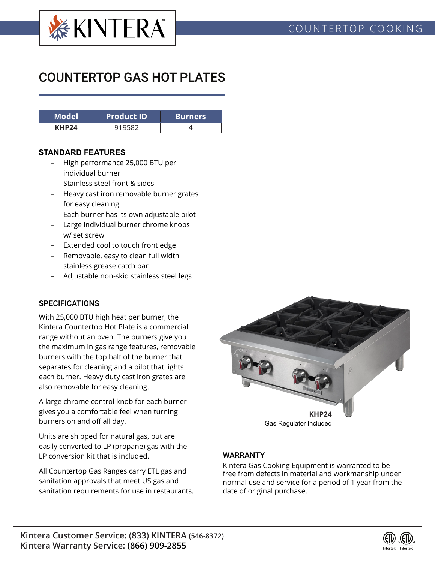

# COUNTERTOP GAS HOT PLATES

| <b>Model</b>      | <b>Product ID</b> | <b>Burners</b> |  |  |
|-------------------|-------------------|----------------|--|--|
| KHP <sub>24</sub> |                   |                |  |  |

#### **STANDARD FEATURES**

- High performance 25,000 BTU per individual burner
- Stainless steel front & sides
- Heavy cast iron removable burner grates for easy cleaning
- Each burner has its own adjustable pilot
- Large individual burner chrome knobs w/ set screw
- Extended cool to touch front edge
- Removable, easy to clean full width stainless grease catch pan
- Adjustable non-skid stainless steel legs

### **SPECIFICATIONS**

With 25,000 BTU high heat per burner, the Kintera Countertop Hot Plate is a commercial range without an oven. The burners give you the maximum in gas range features, removable burners with the top half of the burner that separates for cleaning and a pilot that lights each burner. Heavy duty cast iron grates are also removable for easy cleaning.

A large chrome control knob for each burner gives you a comfortable feel when turning burners on and off all day.

Units are shipped for natural gas, but are easily converted to LP (propane) gas with the LP conversion kit that is included.

All Countertop Gas Ranges carry ETL gas and sanitation approvals that meet US gas and sanitation requirements for use in restaurants.



### WARRANTY

Kintera Gas Cooking Equipment is warranted to be free from defects in material and workmanship under normal use and service for a period of 1 year from the date of original purchase.